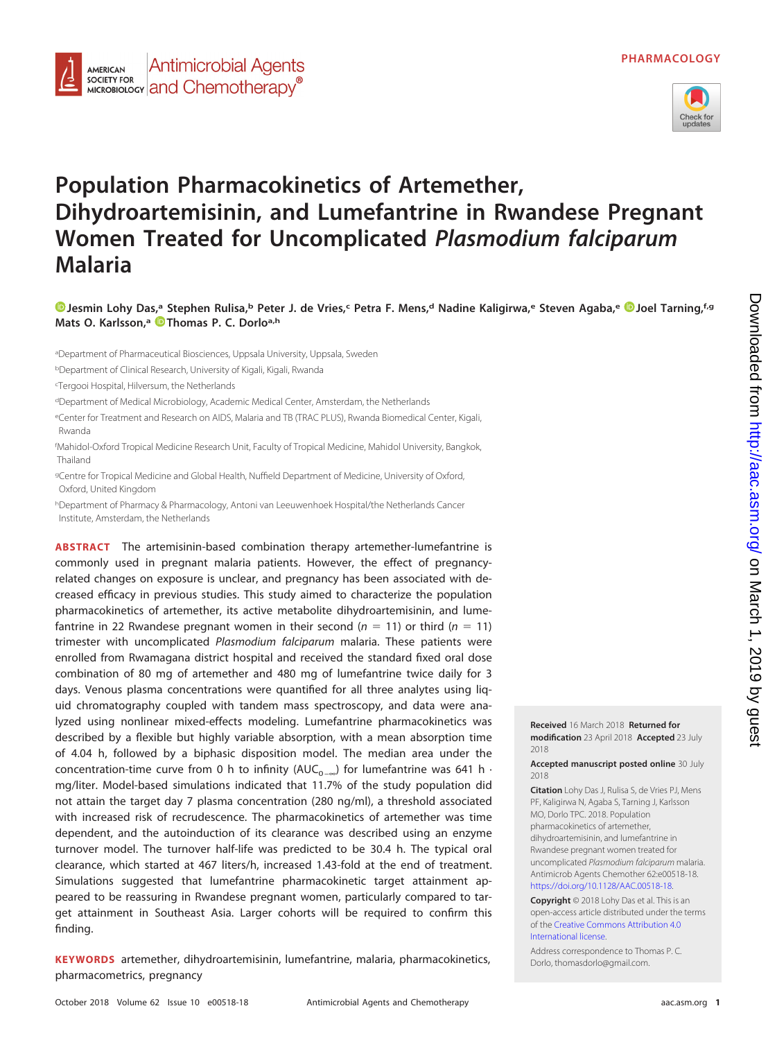

# **Population Pharmacokinetics of Artemether, Dihydroartemisinin, and Lumefantrine in Rwandese Pregnant Women Treated for Uncomplicated Plasmodium falciparum Malaria**

**[Jesmin Lohy Das,](https://orcid.org/0000-0002-1242-3874)a Stephen Rulisa,b Peter J. de Vries,c Petra F. Mens,d Nadine Kaligirwa,e Steven Agaba,e [Joel Tarning,](https://orcid.org/0000-0003-4566-4030)f,g Mats O. Karlsson,a [Thomas P. C. Dorloa](https://orcid.org/0000-0003-3076-8435),h**

aDepartment of Pharmaceutical Biosciences, Uppsala University, Uppsala, Sweden

<sup>b</sup>Department of Clinical Research, University of Kigali, Kigali, Rwanda

c Tergooi Hospital, Hilversum, the Netherlands

<sup>d</sup>Department of Medical Microbiology, Academic Medical Center, Amsterdam, the Netherlands

<sup>e</sup>Center for Treatment and Research on AIDS, Malaria and TB (TRAC PLUS), Rwanda Biomedical Center, Kigali, Rwanda

f Mahidol-Oxford Tropical Medicine Research Unit, Faculty of Tropical Medicine, Mahidol University, Bangkok, Thailand

<sup>g</sup>Centre for Tropical Medicine and Global Health, Nuffield Department of Medicine, University of Oxford, Oxford, United Kingdom

<sup>h</sup>Department of Pharmacy & Pharmacology, Antoni van Leeuwenhoek Hospital/the Netherlands Cancer Institute, Amsterdam, the Netherlands

**ABSTRACT** The artemisinin-based combination therapy artemether-lumefantrine is commonly used in pregnant malaria patients. However, the effect of pregnancyrelated changes on exposure is unclear, and pregnancy has been associated with decreased efficacy in previous studies. This study aimed to characterize the population pharmacokinetics of artemether, its active metabolite dihydroartemisinin, and lumefantrine in 22 Rwandese pregnant women in their second ( $n = 11$ ) or third ( $n = 11$ ) trimester with uncomplicated Plasmodium falciparum malaria. These patients were enrolled from Rwamagana district hospital and received the standard fixed oral dose combination of 80 mg of artemether and 480 mg of lumefantrine twice daily for 3 days. Venous plasma concentrations were quantified for all three analytes using liquid chromatography coupled with tandem mass spectroscopy, and data were analyzed using nonlinear mixed-effects modeling. Lumefantrine pharmacokinetics was described by a flexible but highly variable absorption, with a mean absorption time of 4.04 h, followed by a biphasic disposition model. The median area under the concentration-time curve from 0 h to infinity (AUC<sub>0-∞</sub>) for lumefantrine was 641 h · mg/liter. Model-based simulations indicated that 11.7% of the study population did not attain the target day 7 plasma concentration (280 ng/ml), a threshold associated with increased risk of recrudescence. The pharmacokinetics of artemether was time dependent, and the autoinduction of its clearance was described using an enzyme turnover model. The turnover half-life was predicted to be 30.4 h. The typical oral clearance, which started at 467 liters/h, increased 1.43-fold at the end of treatment. Simulations suggested that lumefantrine pharmacokinetic target attainment appeared to be reassuring in Rwandese pregnant women, particularly compared to target attainment in Southeast Asia. Larger cohorts will be required to confirm this finding.

**KEYWORDS** artemether, dihydroartemisinin, lumefantrine, malaria, pharmacokinetics, pharmacometrics, pregnancy

Downloaded from http://aac.asm.org/ on March 1, 2019 by guest Downloaded from <http://aac.asm.org/> on March 1, 2019 by guest

**Received** 16 March 2018 **Returned for modification** 23 April 2018 **Accepted** 23 July 2018

**Accepted manuscript posted online** 30 July 2018

**Citation** Lohy Das J, Rulisa S, de Vries PJ, Mens PF, Kaligirwa N, Agaba S, Tarning J, Karlsson MO, Dorlo TPC. 2018. Population pharmacokinetics of artemether, dihydroartemisinin, and lumefantrine in Rwandese pregnant women treated for uncomplicated Plasmodium falciparum malaria. Antimicrob Agents Chemother 62:e00518-18. [https://doi.org/10.1128/AAC.00518-18.](https://doi.org/10.1128/AAC.00518-18)

**Copyright** © 2018 Lohy Das et al. This is an open-access article distributed under the terms of the [Creative Commons Attribution 4.0](https://creativecommons.org/licenses/by/4.0/) [International](https://creativecommons.org/licenses/by/4.0/) license.

Address correspondence to Thomas P. C. Dorlo, [thomasdorlo@gmail.com.](mailto:thomasdorlo@gmail.com)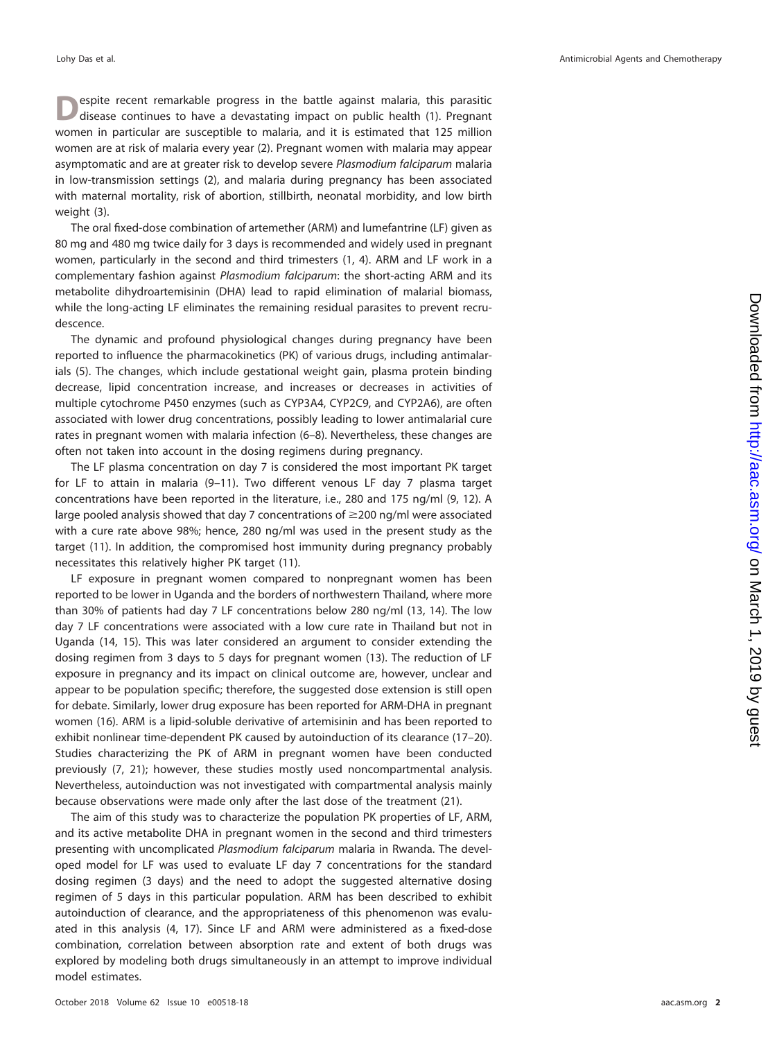espite recent remarkable progress in the battle against malaria, this parasitic disease continues to have a devastating impact on public health [\(1\)](#page-11-0). Pregnant women in particular are susceptible to malaria, and it is estimated that 125 million women are at risk of malaria every year [\(2\)](#page-11-1). Pregnant women with malaria may appear asymptomatic and are at greater risk to develop severe Plasmodium falciparum malaria in low-transmission settings [\(2\)](#page-11-1), and malaria during pregnancy has been associated with maternal mortality, risk of abortion, stillbirth, neonatal morbidity, and low birth weight [\(3\)](#page-11-2).

The oral fixed-dose combination of artemether (ARM) and lumefantrine (LF) given as 80 mg and 480 mg twice daily for 3 days is recommended and widely used in pregnant women, particularly in the second and third trimesters [\(1,](#page-11-0) [4\)](#page-11-3). ARM and LF work in a complementary fashion against *Plasmodium falciparum*: the short-acting ARM and its metabolite dihydroartemisinin (DHA) lead to rapid elimination of malarial biomass, while the long-acting LF eliminates the remaining residual parasites to prevent recrudescence.

The dynamic and profound physiological changes during pregnancy have been reported to influence the pharmacokinetics (PK) of various drugs, including antimalarials [\(5\)](#page-11-4). The changes, which include gestational weight gain, plasma protein binding decrease, lipid concentration increase, and increases or decreases in activities of multiple cytochrome P450 enzymes (such as CYP3A4, CYP2C9, and CYP2A6), are often associated with lower drug concentrations, possibly leading to lower antimalarial cure rates in pregnant women with malaria infection [\(6](#page-11-5)[–](#page-11-6)[8\)](#page-11-7). Nevertheless, these changes are often not taken into account in the dosing regimens during pregnancy.

The LF plasma concentration on day 7 is considered the most important PK target for LF to attain in malaria [\(9](#page-11-8)[–](#page-11-9)[11\)](#page-11-10). Two different venous LF day 7 plasma target concentrations have been reported in the literature, i.e., 280 and 175 ng/ml [\(9,](#page-11-8) [12\)](#page-11-11). A large pooled analysis showed that day 7 concentrations of  $\geq$  200 ng/ml were associated with a cure rate above 98%; hence, 280 ng/ml was used in the present study as the target [\(11\)](#page-11-10). In addition, the compromised host immunity during pregnancy probably necessitates this relatively higher PK target [\(11\)](#page-11-10).

LF exposure in pregnant women compared to nonpregnant women has been reported to be lower in Uganda and the borders of northwestern Thailand, where more than 30% of patients had day 7 LF concentrations below 280 ng/ml [\(13,](#page-12-0) [14\)](#page-12-1). The low day 7 LF concentrations were associated with a low cure rate in Thailand but not in Uganda [\(14,](#page-12-1) [15\)](#page-12-2). This was later considered an argument to consider extending the dosing regimen from 3 days to 5 days for pregnant women [\(13\)](#page-12-0). The reduction of LF exposure in pregnancy and its impact on clinical outcome are, however, unclear and appear to be population specific; therefore, the suggested dose extension is still open for debate. Similarly, lower drug exposure has been reported for ARM-DHA in pregnant women [\(16\)](#page-12-3). ARM is a lipid-soluble derivative of artemisinin and has been reported to exhibit nonlinear time-dependent PK caused by autoinduction of its clearance [\(17](#page-12-4)[–](#page-12-5)[20\)](#page-12-6). Studies characterizing the PK of ARM in pregnant women have been conducted previously [\(7,](#page-11-6) [21\)](#page-12-7); however, these studies mostly used noncompartmental analysis. Nevertheless, autoinduction was not investigated with compartmental analysis mainly because observations were made only after the last dose of the treatment [\(21\)](#page-12-7).

The aim of this study was to characterize the population PK properties of LF, ARM, and its active metabolite DHA in pregnant women in the second and third trimesters presenting with uncomplicated Plasmodium falciparum malaria in Rwanda. The developed model for LF was used to evaluate LF day 7 concentrations for the standard dosing regimen (3 days) and the need to adopt the suggested alternative dosing regimen of 5 days in this particular population. ARM has been described to exhibit autoinduction of clearance, and the appropriateness of this phenomenon was evaluated in this analysis [\(4,](#page-11-3) [17\)](#page-12-4). Since LF and ARM were administered as a fixed-dose combination, correlation between absorption rate and extent of both drugs was explored by modeling both drugs simultaneously in an attempt to improve individual model estimates.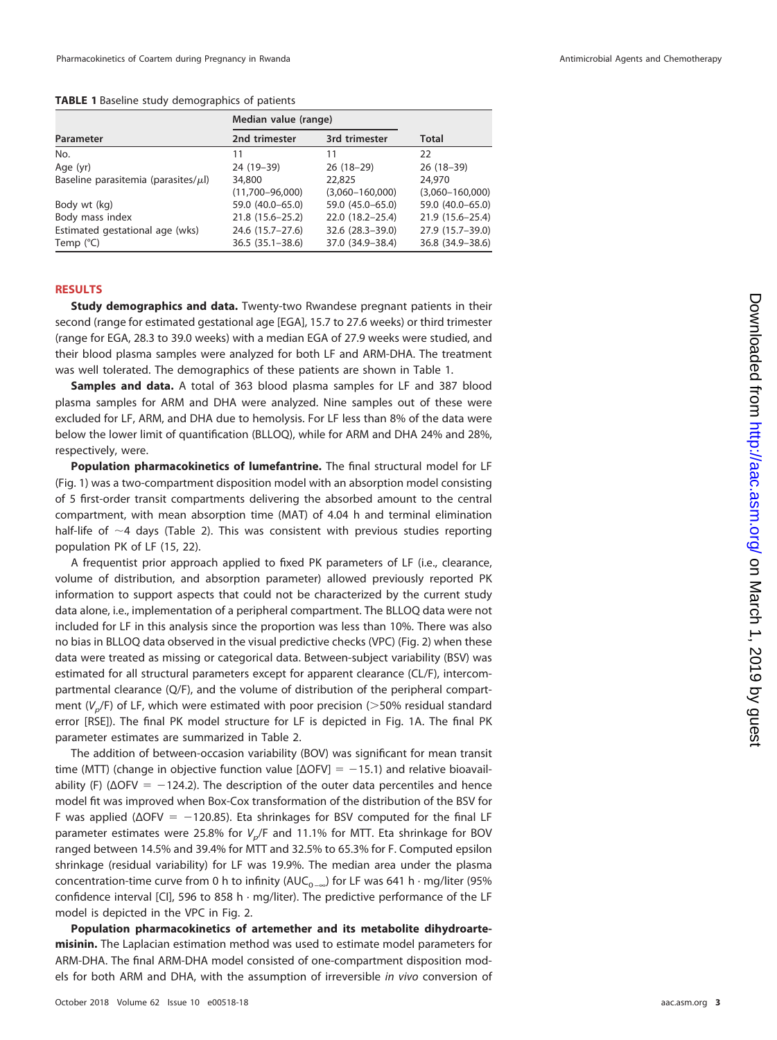<span id="page-2-0"></span>**TABLE 1** Baseline study demographics of patients

|                                           | Median value (range) |                     |                     |
|-------------------------------------------|----------------------|---------------------|---------------------|
| Parameter                                 | 2nd trimester        | 3rd trimester       | <b>Total</b>        |
| No.                                       | 11                   | 11                  | 22                  |
| Age (yr)                                  | 24 (19-39)           | $26(18-29)$         | $26(18-39)$         |
| Baseline parasitemia (parasites/ $\mu$ l) | 34,800               | 22,825              | 24,970              |
|                                           | $(11,700 - 96,000)$  | $(3,060 - 160,000)$ | $(3,060 - 160,000)$ |
| Body wt (kg)                              | 59.0 (40.0-65.0)     | 59.0 (45.0-65.0)    | 59.0 (40.0-65.0)    |
| Body mass index                           | 21.8 (15.6 - 25.2)   | 22.0 (18.2-25.4)    | 21.9 (15.6-25.4)    |
| Estimated gestational age (wks)           | 24.6 (15.7-27.6)     | 32.6 (28.3-39.0)    | 27.9 (15.7-39.0)    |
| Temp $(^{\circ}C)$                        | $36.5(35.1 - 38.6)$  | 37.0 (34.9-38.4)    | 36.8 (34.9-38.6)    |

# **RESULTS**

**Study demographics and data.** Twenty-two Rwandese pregnant patients in their second (range for estimated gestational age [EGA], 15.7 to 27.6 weeks) or third trimester (range for EGA, 28.3 to 39.0 weeks) with a median EGA of 27.9 weeks were studied, and their blood plasma samples were analyzed for both LF and ARM-DHA. The treatment was well tolerated. The demographics of these patients are shown in [Table 1.](#page-2-0)

**Samples and data.** A total of 363 blood plasma samples for LF and 387 blood plasma samples for ARM and DHA were analyzed. Nine samples out of these were excluded for LF, ARM, and DHA due to hemolysis. For LF less than 8% of the data were below the lower limit of quantification (BLLOQ), while for ARM and DHA 24% and 28%, respectively, were.

**Population pharmacokinetics of lumefantrine.** The final structural model for LF [\(Fig. 1\)](#page-3-0) was a two-compartment disposition model with an absorption model consisting of 5 first-order transit compartments delivering the absorbed amount to the central compartment, with mean absorption time (MAT) of 4.04 h and terminal elimination half-life of  $\sim$ 4 days [\(Table 2\)](#page-4-0). This was consistent with previous studies reporting population PK of LF [\(15,](#page-12-2) [22\)](#page-12-8).

A frequentist prior approach applied to fixed PK parameters of LF (i.e., clearance, volume of distribution, and absorption parameter) allowed previously reported PK information to support aspects that could not be characterized by the current study data alone, i.e., implementation of a peripheral compartment. The BLLOQ data were not included for LF in this analysis since the proportion was less than 10%. There was also no bias in BLLOQ data observed in the visual predictive checks (VPC) [\(Fig. 2\)](#page-5-0) when these data were treated as missing or categorical data. Between-subject variability (BSV) was estimated for all structural parameters except for apparent clearance (CL/F), intercompartmental clearance (Q/F), and the volume of distribution of the peripheral compartment ( $V_p$ /F) of LF, which were estimated with poor precision ( $>$ 50% residual standard error [RSE]). The final PK model structure for LF is depicted in [Fig. 1A.](#page-3-0) The final PK parameter estimates are summarized in [Table 2.](#page-4-0)

The addition of between-occasion variability (BOV) was significant for mean transit time (MTT) (change in objective function value  $[\Delta$ OFV] = -15.1) and relative bioavailability (F) ( $\Delta$ OFV =  $-124.2$ ). The description of the outer data percentiles and hence model fit was improved when Box-Cox transformation of the distribution of the BSV for F was applied ( $\Delta$ OFV =  $-120.85$ ). Eta shrinkages for BSV computed for the final LF parameter estimates were 25.8% for  $V_p$ /F and 11.1% for MTT. Eta shrinkage for BOV ranged between 14.5% and 39.4% for MTT and 32.5% to 65.3% for F. Computed epsilon shrinkage (residual variability) for LF was 19.9%. The median area under the plasma concentration-time curve from 0 h to infinity (AUC<sub>0 –∞</sub>) for LF was 641 h · mg/liter (95% confidence interval [CI], 596 to 858 h  $\cdot$  mg/liter). The predictive performance of the LF model is depicted in the VPC in [Fig. 2.](#page-5-0)

**Population pharmacokinetics of artemether and its metabolite dihydroartemisinin.** The Laplacian estimation method was used to estimate model parameters for ARM-DHA. The final ARM-DHA model consisted of one-compartment disposition models for both ARM and DHA, with the assumption of irreversible in vivo conversion of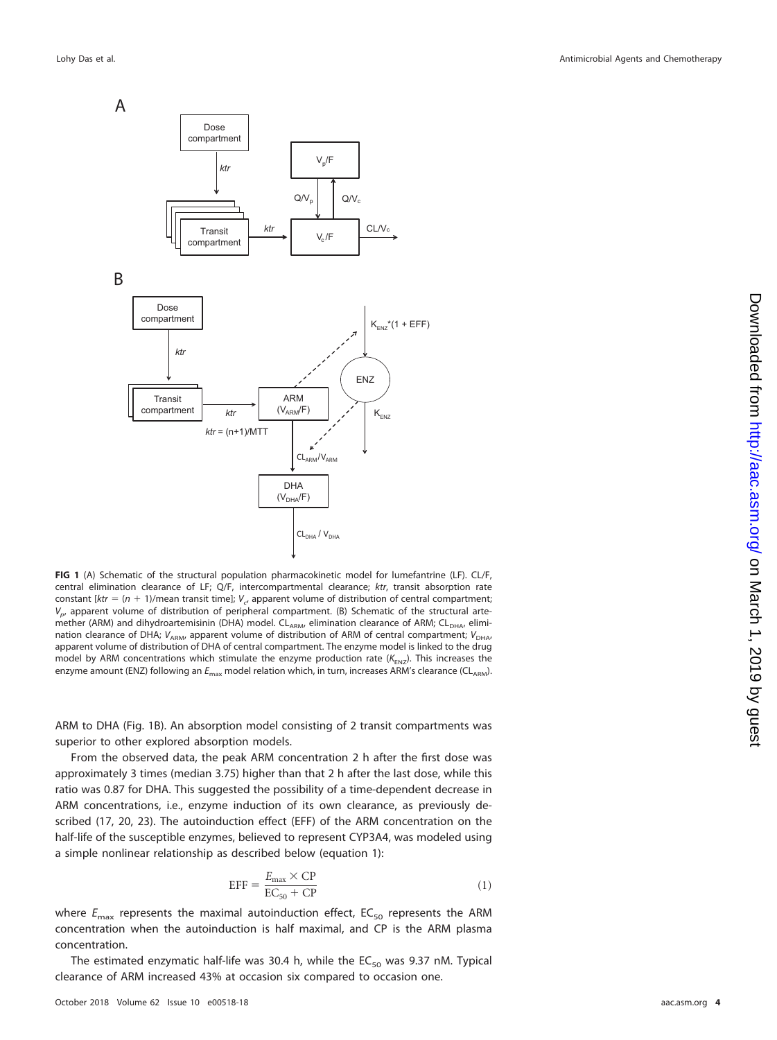



<span id="page-3-0"></span>**FIG 1** (A) Schematic of the structural population pharmacokinetic model for lumefantrine (LF). CL/F, central elimination clearance of LF; Q/F, intercompartmental clearance; ktr, transit absorption rate constant  $[ktr = (n + 1)$ /mean transit time];  $V_{ct}$  apparent volume of distribution of central compartment;  $V_{p}$ , apparent volume of distribution of peripheral compartment. (B) Schematic of the structural artemether (ARM) and dihydroartemisinin (DHA) model. CL<sub>ARM</sub>, elimination clearance of ARM; CL<sub>DHA</sub>, elimination clearance of DHA;  $V_{ABM}$ , apparent volume of distribution of ARM of central compartment;  $V_{DHA}$ apparent volume of distribution of DHA of central compartment. The enzyme model is linked to the drug model by ARM concentrations which stimulate the enzyme production rate ( $K_{ENZ}$ ). This increases the enzyme amount (ENZ) following an  $E_{\text{max}}$  model relation which, in turn, increases ARM's clearance (CL<sub>ARM</sub>).

ARM to DHA [\(Fig. 1B\)](#page-3-0). An absorption model consisting of 2 transit compartments was superior to other explored absorption models.

From the observed data, the peak ARM concentration 2 h after the first dose was approximately 3 times (median 3.75) higher than that 2 h after the last dose, while this ratio was 0.87 for DHA. This suggested the possibility of a time-dependent decrease in ARM concentrations, i.e., enzyme induction of its own clearance, as previously described [\(17,](#page-12-4) [20,](#page-12-6) [23\)](#page-12-9). The autoinduction effect (EFF) of the ARM concentration on the half-life of the susceptible enzymes, believed to represent CYP3A4, was modeled using a simple nonlinear relationship as described below (equation 1):

$$
EFF = \frac{E_{\text{max}} \times CP}{EC_{50} + CP} \tag{1}
$$

where  $E_{\text{max}}$  represents the maximal autoinduction effect, EC<sub>50</sub> represents the ARM concentration when the autoinduction is half maximal, and CP is the ARM plasma concentration.

The estimated enzymatic half-life was 30.4 h, while the  $EC_{50}$  was 9.37 nM. Typical clearance of ARM increased 43% at occasion six compared to occasion one.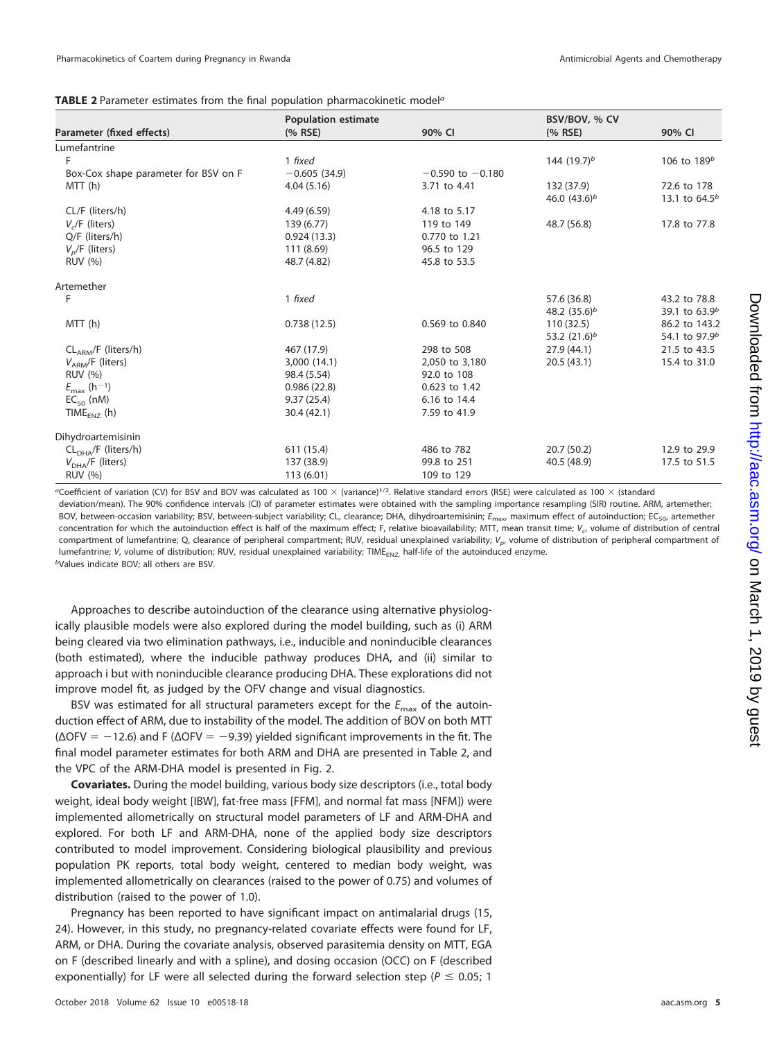<span id="page-4-0"></span>

| TABLE 2 Parameter estimates from the final population pharmacokinetic model <sup>a</sup> |  |  |  |
|------------------------------------------------------------------------------------------|--|--|--|
|------------------------------------------------------------------------------------------|--|--|--|

|                                      | <b>Population estimate</b> |                      | BSV/BOV, % CV   |                           |
|--------------------------------------|----------------------------|----------------------|-----------------|---------------------------|
| Parameter (fixed effects)            | $(%$ RSE)                  | 90% CI               | (% RSE)         | 90% CI                    |
| Lumefantrine                         |                            |                      |                 |                           |
|                                      | 1 fixed                    |                      | 144 $(19.7)^b$  | 106 to $189^b$            |
| Box-Cox shape parameter for BSV on F | $-0.605(34.9)$             | $-0.590$ to $-0.180$ |                 |                           |
| MTT(h)                               | 4.04(5.16)                 | 3.71 to 4.41         | 132 (37.9)      | 72.6 to 178               |
|                                      |                            |                      | 46.0 $(43.6)^b$ | 13.1 to $64.5^b$          |
| CL/F (liters/h)                      | 4.49(6.59)                 | 4.18 to 5.17         |                 |                           |
| $Vc/F$ (liters)                      | 139 (6.77)                 | 119 to 149           | 48.7 (56.8)     | 17.8 to 77.8              |
| Q/F (liters/h)                       | 0.924(13.3)                | 0.770 to 1.21        |                 |                           |
| $V_p$ /F (liters)                    | 111 (8.69)                 | 96.5 to 129          |                 |                           |
| <b>RUV (%)</b>                       | 48.7 (4.82)                | 45.8 to 53.5         |                 |                           |
| Artemether                           |                            |                      |                 |                           |
| F                                    | 1 fixed                    |                      | 57.6 (36.8)     | 43.2 to 78.8              |
|                                      |                            |                      | 48.2 $(35.6)^b$ | 39.1 to $63.9b$           |
| MTT (h)                              | 0.738(12.5)                | 0.569 to 0.840       | 110(32.5)       | 86.2 to 143.2             |
|                                      |                            |                      | 53.2 $(21.6)^b$ | 54.1 to 97.9 <sup>b</sup> |
| $CLARM/F$ (liters/h)                 | 467 (17.9)                 | 298 to 508           | 27.9(44.1)      | 21.5 to 43.5              |
| $V_{ARM}/F$ (liters)                 | 3,000 (14.1)               | 2,050 to 3,180       | 20.5(43.1)      | 15.4 to 31.0              |
| <b>RUV (%)</b>                       | 98.4 (5.54)                | 92.0 to 108          |                 |                           |
| $E_{\text{max}}$ (h <sup>-1</sup> )  | 0.986(22.8)                | 0.623 to 1.42        |                 |                           |
| $EC_{50}$ (nM)                       | 9.37(25.4)                 | 6.16 to 14.4         |                 |                           |
| TIME <sub>FNZ</sub> (h)              | 30.4(42.1)                 | 7.59 to 41.9         |                 |                           |
| Dihydroartemisinin                   |                            |                      |                 |                           |
| $CLDHA/F$ (liters/h)                 | 611 (15.4)                 | 486 to 782           | 20.7(50.2)      | 12.9 to 29.9              |
| $V_{\text{DHA}}$ /F (liters)         | 137 (38.9)                 | 99.8 to 251          | 40.5 (48.9)     | 17.5 to 51.5              |
| <b>RUV (%)</b>                       | 113(6.01)                  | 109 to 129           |                 |                           |

<sup>a</sup>Coefficient of variation (CV) for BSV and BOV was calculated as 100  $\times$  (variance)<sup>1/2</sup>. Relative standard errors (RSE) were calculated as 100  $\times$  (standard

deviation/mean). The 90% confidence intervals (CI) of parameter estimates were obtained with the sampling importance resampling (SIR) routine. ARM, artemether: BOV, between-occasion variability; BSV, between-subject variability; CL, clearance; DHA, dihydroartemisinin;  $E_{\text{max}}$ , maximum effect of autoinduction; EC<sub>50</sub>, artemether concentration for which the autoinduction effect is half of the maximum effect; F, relative bioavailability; MTT, mean transit time;  $V_{cr}$  volume of distribution of central compartment of lumefantrine; Q, clearance of peripheral compartment; RUV, residual unexplained variability; V<sub>p</sub>, volume of distribution of peripheral compartment of lumefantrine; V, volume of distribution; RUV, residual unexplained variability; TIME<sub>FNZ</sub>, half-life of the autoinduced enzyme. bValues indicate BOV; all others are BSV.

Approaches to describe autoinduction of the clearance using alternative physiologically plausible models were also explored during the model building, such as (i) ARM being cleared via two elimination pathways, i.e., inducible and noninducible clearances (both estimated), where the inducible pathway produces DHA, and (ii) similar to approach i but with noninducible clearance producing DHA. These explorations did not improve model fit, as judged by the OFV change and visual diagnostics.

BSV was estimated for all structural parameters except for the  $E_{\text{max}}$  of the autoinduction effect of ARM, due to instability of the model. The addition of BOV on both MTT  $(\Delta$ OFV = -12.6) and F ( $\Delta$ OFV = -9.39) yielded significant improvements in the fit. The final model parameter estimates for both ARM and DHA are presented in [Table 2,](#page-4-0) and the VPC of the ARM-DHA model is presented in [Fig. 2.](#page-5-0)

**Covariates.** During the model building, various body size descriptors (i.e., total body weight, ideal body weight [IBW], fat-free mass [FFM], and normal fat mass [NFM]) were implemented allometrically on structural model parameters of LF and ARM-DHA and explored. For both LF and ARM-DHA, none of the applied body size descriptors contributed to model improvement. Considering biological plausibility and previous population PK reports, total body weight, centered to median body weight, was implemented allometrically on clearances (raised to the power of 0.75) and volumes of distribution (raised to the power of 1.0).

Pregnancy has been reported to have significant impact on antimalarial drugs [\(15,](#page-12-2) [24\)](#page-12-10). However, in this study, no pregnancy-related covariate effects were found for LF, ARM, or DHA. During the covariate analysis, observed parasitemia density on MTT, EGA on F (described linearly and with a spline), and dosing occasion (OCC) on F (described exponentially) for LF were all selected during the forward selection step ( $P \le 0.05$ ; 1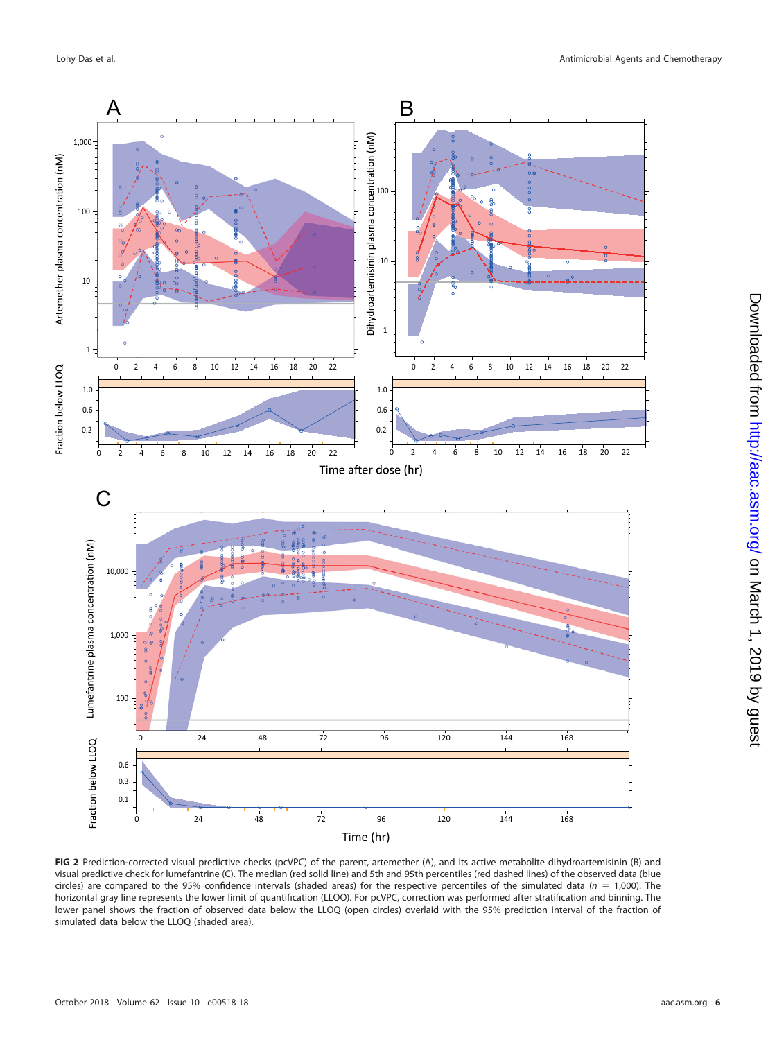

<span id="page-5-0"></span>**FIG 2** Prediction-corrected visual predictive checks (pcVPC) of the parent, artemether (A), and its active metabolite dihydroartemisinin (B) and visual predictive check for lumefantrine (C). The median (red solid line) and 5th and 95th percentiles (red dashed lines) of the observed data (blue circles) are compared to the 95% confidence intervals (shaded areas) for the respective percentiles of the simulated data ( $n = 1,000$ ). The horizontal gray line represents the lower limit of quantification (LLOQ). For pcVPC, correction was performed after stratification and binning. The lower panel shows the fraction of observed data below the LLOQ (open circles) overlaid with the 95% prediction interval of the fraction of simulated data below the LLOQ (shaded area).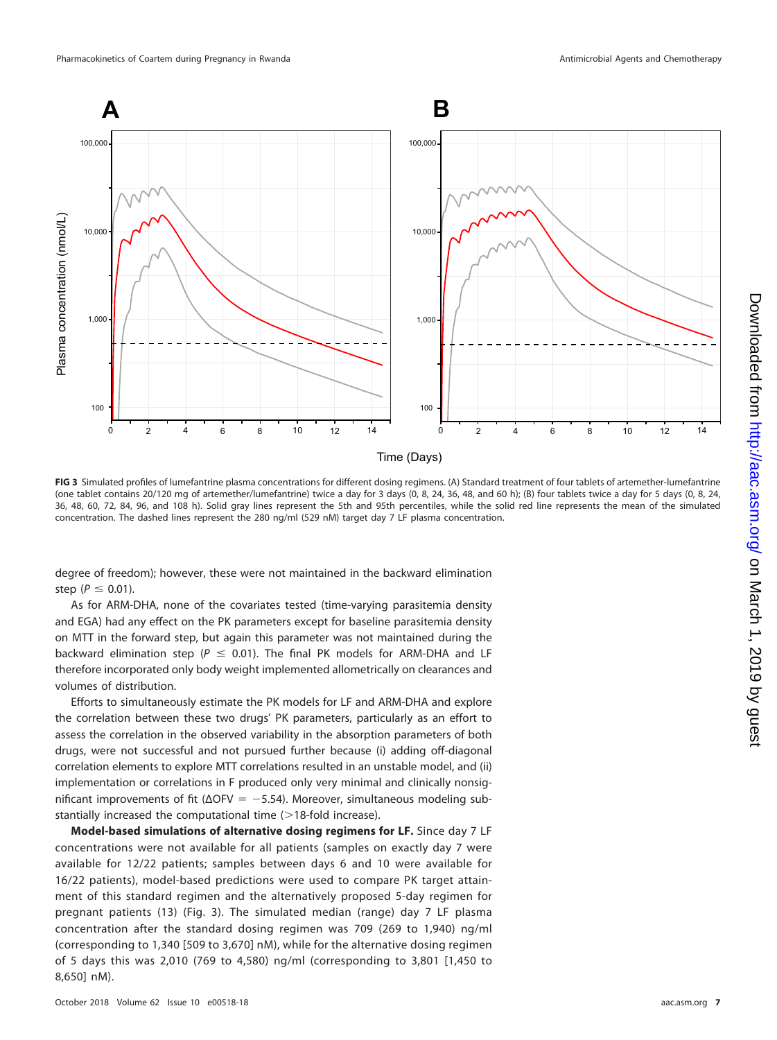

<span id="page-6-0"></span>**FIG 3** Simulated profiles of lumefantrine plasma concentrations for different dosing regimens. (A) Standard treatment of four tablets of artemether-lumefantrine (one tablet contains 20/120 mg of artemether/lumefantrine) twice a day for 3 days (0, 8, 24, 36, 48, and 60 h); (B) four tablets twice a day for 5 days (0, 8, 24, 36, 48, 60, 72, 84, 96, and 108 h). Solid gray lines represent the 5th and 95th percentiles, while the solid red line represents the mean of the simulated concentration. The dashed lines represent the 280 ng/ml (529 nM) target day 7 LF plasma concentration.

degree of freedom); however, these were not maintained in the backward elimination step ( $P \leq 0.01$ ).

As for ARM-DHA, none of the covariates tested (time-varying parasitemia density and EGA) had any effect on the PK parameters except for baseline parasitemia density on MTT in the forward step, but again this parameter was not maintained during the backward elimination step ( $P \le 0.01$ ). The final PK models for ARM-DHA and LF therefore incorporated only body weight implemented allometrically on clearances and volumes of distribution.

Efforts to simultaneously estimate the PK models for LF and ARM-DHA and explore the correlation between these two drugs' PK parameters, particularly as an effort to assess the correlation in the observed variability in the absorption parameters of both drugs, were not successful and not pursued further because (i) adding off-diagonal correlation elements to explore MTT correlations resulted in an unstable model, and (ii) implementation or correlations in F produced only very minimal and clinically nonsignificant improvements of fit ( $ΔOFV = -5.54$ ). Moreover, simultaneous modeling substantially increased the computational time  $(>18$ -fold increase).

**Model-based simulations of alternative dosing regimens for LF.** Since day 7 LF concentrations were not available for all patients (samples on exactly day 7 were available for 12/22 patients; samples between days 6 and 10 were available for 16/22 patients), model-based predictions were used to compare PK target attainment of this standard regimen and the alternatively proposed 5-day regimen for pregnant patients [\(13\)](#page-12-0) [\(Fig. 3\)](#page-6-0). The simulated median (range) day 7 LF plasma concentration after the standard dosing regimen was 709 (269 to 1,940) ng/ml (corresponding to 1,340 [509 to 3,670] nM), while for the alternative dosing regimen of 5 days this was 2,010 (769 to 4,580) ng/ml (corresponding to 3,801 [1,450 to 8,650] nM).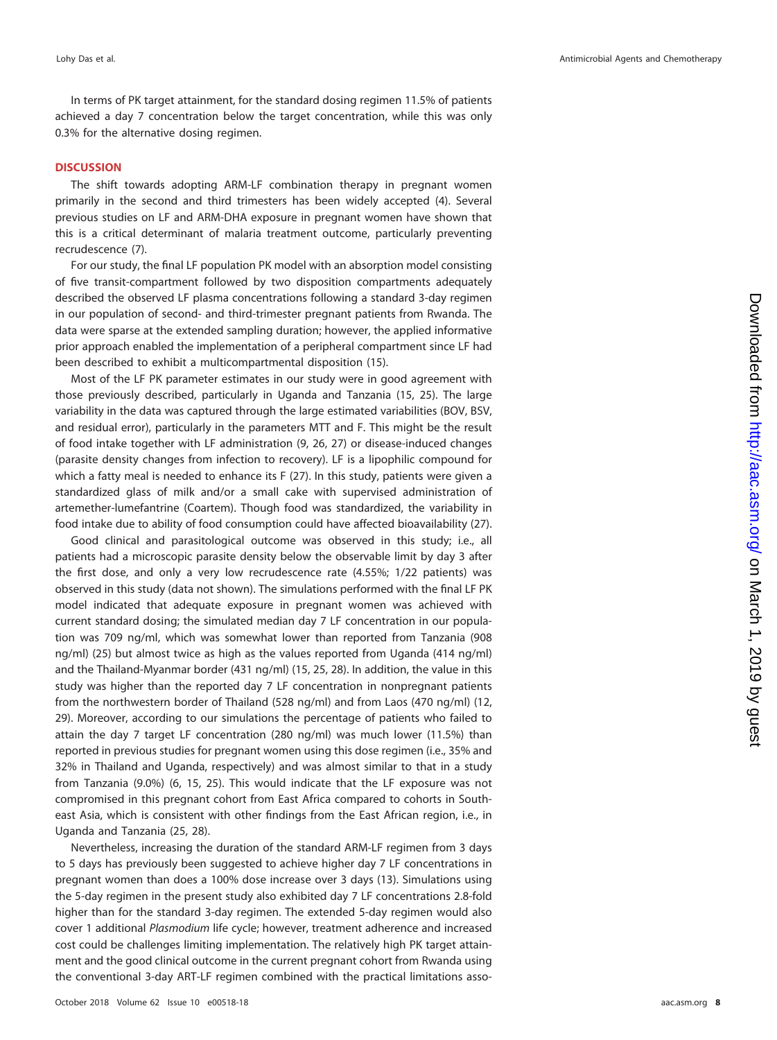In terms of PK target attainment, for the standard dosing regimen 11.5% of patients achieved a day 7 concentration below the target concentration, while this was only 0.3% for the alternative dosing regimen.

# **DISCUSSION**

The shift towards adopting ARM-LF combination therapy in pregnant women primarily in the second and third trimesters has been widely accepted [\(4\)](#page-11-3). Several previous studies on LF and ARM-DHA exposure in pregnant women have shown that this is a critical determinant of malaria treatment outcome, particularly preventing recrudescence [\(7\)](#page-11-6).

For our study, the final LF population PK model with an absorption model consisting of five transit-compartment followed by two disposition compartments adequately described the observed LF plasma concentrations following a standard 3-day regimen in our population of second- and third-trimester pregnant patients from Rwanda. The data were sparse at the extended sampling duration; however, the applied informative prior approach enabled the implementation of a peripheral compartment since LF had been described to exhibit a multicompartmental disposition [\(15\)](#page-12-2).

Most of the LF PK parameter estimates in our study were in good agreement with those previously described, particularly in Uganda and Tanzania [\(15,](#page-12-2) [25\)](#page-12-11). The large variability in the data was captured through the large estimated variabilities (BOV, BSV, and residual error), particularly in the parameters MTT and F. This might be the result of food intake together with LF administration [\(9,](#page-11-8) [26,](#page-12-12) [27\)](#page-12-13) or disease-induced changes (parasite density changes from infection to recovery). LF is a lipophilic compound for which a fatty meal is needed to enhance its F [\(27\)](#page-12-13). In this study, patients were given a standardized glass of milk and/or a small cake with supervised administration of artemether-lumefantrine (Coartem). Though food was standardized, the variability in food intake due to ability of food consumption could have affected bioavailability [\(27\)](#page-12-13).

Good clinical and parasitological outcome was observed in this study; i.e., all patients had a microscopic parasite density below the observable limit by day 3 after the first dose, and only a very low recrudescence rate (4.55%; 1/22 patients) was observed in this study (data not shown). The simulations performed with the final LF PK model indicated that adequate exposure in pregnant women was achieved with current standard dosing; the simulated median day 7 LF concentration in our population was 709 ng/ml, which was somewhat lower than reported from Tanzania (908 ng/ml) [\(25\)](#page-12-11) but almost twice as high as the values reported from Uganda (414 ng/ml) and the Thailand-Myanmar border (431 ng/ml) [\(15,](#page-12-2) [25,](#page-12-11) [28\)](#page-12-14). In addition, the value in this study was higher than the reported day 7 LF concentration in nonpregnant patients from the northwestern border of Thailand (528 ng/ml) and from Laos (470 ng/ml) [\(12,](#page-11-11) [29\)](#page-12-15). Moreover, according to our simulations the percentage of patients who failed to attain the day 7 target LF concentration (280 ng/ml) was much lower (11.5%) than reported in previous studies for pregnant women using this dose regimen (i.e., 35% and 32% in Thailand and Uganda, respectively) and was almost similar to that in a study from Tanzania (9.0%) [\(6,](#page-11-5) [15,](#page-12-2) [25\)](#page-12-11). This would indicate that the LF exposure was not compromised in this pregnant cohort from East Africa compared to cohorts in Southeast Asia, which is consistent with other findings from the East African region, i.e., in Uganda and Tanzania [\(25,](#page-12-11) [28\)](#page-12-14).

Nevertheless, increasing the duration of the standard ARM-LF regimen from 3 days to 5 days has previously been suggested to achieve higher day 7 LF concentrations in pregnant women than does a 100% dose increase over 3 days [\(13\)](#page-12-0). Simulations using the 5-day regimen in the present study also exhibited day 7 LF concentrations 2.8-fold higher than for the standard 3-day regimen. The extended 5-day regimen would also cover 1 additional Plasmodium life cycle; however, treatment adherence and increased cost could be challenges limiting implementation. The relatively high PK target attainment and the good clinical outcome in the current pregnant cohort from Rwanda using the conventional 3-day ART-LF regimen combined with the practical limitations asso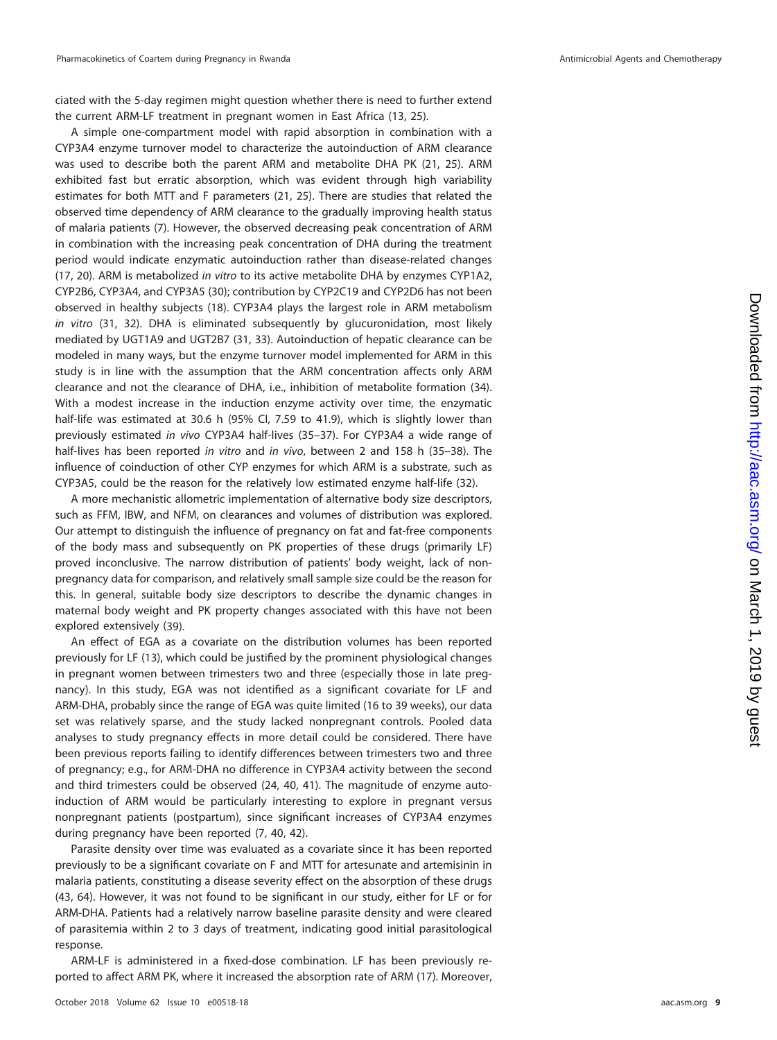ciated with the 5-day regimen might question whether there is need to further extend the current ARM-LF treatment in pregnant women in East Africa [\(13,](#page-12-0) [25\)](#page-12-11).

A simple one-compartment model with rapid absorption in combination with a CYP3A4 enzyme turnover model to characterize the autoinduction of ARM clearance was used to describe both the parent ARM and metabolite DHA PK [\(21,](#page-12-7) [25\)](#page-12-11). ARM exhibited fast but erratic absorption, which was evident through high variability estimates for both MTT and F parameters [\(21,](#page-12-7) [25\)](#page-12-11). There are studies that related the observed time dependency of ARM clearance to the gradually improving health status of malaria patients [\(7\)](#page-11-6). However, the observed decreasing peak concentration of ARM in combination with the increasing peak concentration of DHA during the treatment period would indicate enzymatic autoinduction rather than disease-related changes [\(17,](#page-12-4) [20\)](#page-12-6). ARM is metabolized in vitro to its active metabolite DHA by enzymes CYP1A2, CYP2B6, CYP3A4, and CYP3A5 [\(30\)](#page-12-16); contribution by CYP2C19 and CYP2D6 has not been observed in healthy subjects [\(18\)](#page-12-17). CYP3A4 plays the largest role in ARM metabolism in vitro [\(31,](#page-12-18) [32\)](#page-12-19). DHA is eliminated subsequently by glucuronidation, most likely mediated by UGT1A9 and UGT2B7 [\(31,](#page-12-18) [33\)](#page-12-20). Autoinduction of hepatic clearance can be modeled in many ways, but the enzyme turnover model implemented for ARM in this study is in line with the assumption that the ARM concentration affects only ARM clearance and not the clearance of DHA, i.e., inhibition of metabolite formation [\(34\)](#page-12-21). With a modest increase in the induction enzyme activity over time, the enzymatic half-life was estimated at 30.6 h (95% Cl, 7.59 to 41.9), which is slightly lower than previously estimated in vivo CYP3A4 half-lives [\(35](#page-12-22)[–](#page-12-23)[37\)](#page-12-24). For CYP3A4 a wide range of half-lives has been reported in vitro and in vivo, between 2 and 158 h [\(35](#page-12-22)[–](#page-12-24)[38\)](#page-12-25). The influence of coinduction of other CYP enzymes for which ARM is a substrate, such as CYP3A5, could be the reason for the relatively low estimated enzyme half-life [\(32\)](#page-12-19).

A more mechanistic allometric implementation of alternative body size descriptors, such as FFM, IBW, and NFM, on clearances and volumes of distribution was explored. Our attempt to distinguish the influence of pregnancy on fat and fat-free components of the body mass and subsequently on PK properties of these drugs (primarily LF) proved inconclusive. The narrow distribution of patients' body weight, lack of nonpregnancy data for comparison, and relatively small sample size could be the reason for this. In general, suitable body size descriptors to describe the dynamic changes in maternal body weight and PK property changes associated with this have not been explored extensively [\(39\)](#page-12-26).

An effect of EGA as a covariate on the distribution volumes has been reported previously for LF [\(13\)](#page-12-0), which could be justified by the prominent physiological changes in pregnant women between trimesters two and three (especially those in late pregnancy). In this study, EGA was not identified as a significant covariate for LF and ARM-DHA, probably since the range of EGA was quite limited (16 to 39 weeks), our data set was relatively sparse, and the study lacked nonpregnant controls. Pooled data analyses to study pregnancy effects in more detail could be considered. There have been previous reports failing to identify differences between trimesters two and three of pregnancy; e.g., for ARM-DHA no difference in CYP3A4 activity between the second and third trimesters could be observed [\(24,](#page-12-10) [40,](#page-12-27) [41\)](#page-12-28). The magnitude of enzyme autoinduction of ARM would be particularly interesting to explore in pregnant versus nonpregnant patients (postpartum), since significant increases of CYP3A4 enzymes during pregnancy have been reported [\(7,](#page-11-6) [40,](#page-12-27) [42\)](#page-12-29).

Parasite density over time was evaluated as a covariate since it has been reported previously to be a significant covariate on F and MTT for artesunate and artemisinin in malaria patients, constituting a disease severity effect on the absorption of these drugs [\(43,](#page-12-30) [64\)](#page-13-0). However, it was not found to be significant in our study, either for LF or for ARM-DHA. Patients had a relatively narrow baseline parasite density and were cleared of parasitemia within 2 to 3 days of treatment, indicating good initial parasitological response.

ARM-LF is administered in a fixed-dose combination. LF has been previously reported to affect ARM PK, where it increased the absorption rate of ARM [\(17\)](#page-12-4). Moreover,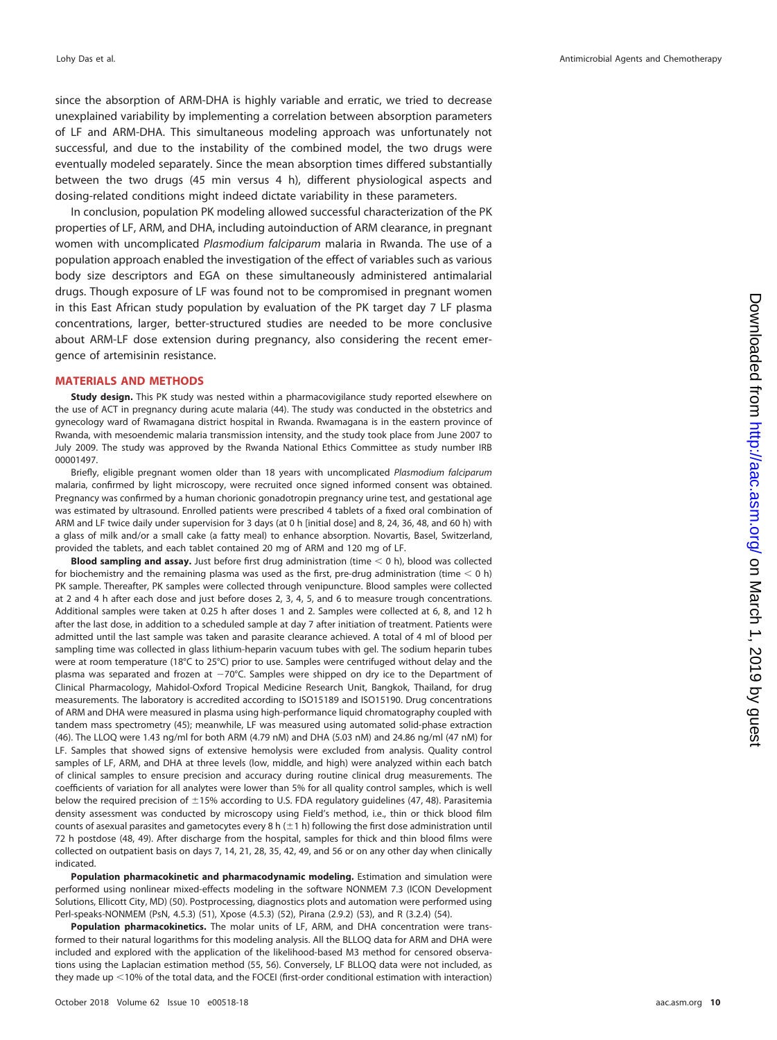since the absorption of ARM-DHA is highly variable and erratic, we tried to decrease unexplained variability by implementing a correlation between absorption parameters of LF and ARM-DHA. This simultaneous modeling approach was unfortunately not successful, and due to the instability of the combined model, the two drugs were eventually modeled separately. Since the mean absorption times differed substantially between the two drugs (45 min versus 4 h), different physiological aspects and dosing-related conditions might indeed dictate variability in these parameters.

In conclusion, population PK modeling allowed successful characterization of the PK properties of LF, ARM, and DHA, including autoinduction of ARM clearance, in pregnant women with uncomplicated Plasmodium falciparum malaria in Rwanda. The use of a population approach enabled the investigation of the effect of variables such as various body size descriptors and EGA on these simultaneously administered antimalarial drugs. Though exposure of LF was found not to be compromised in pregnant women in this East African study population by evaluation of the PK target day 7 LF plasma concentrations, larger, better-structured studies are needed to be more conclusive about ARM-LF dose extension during pregnancy, also considering the recent emergence of artemisinin resistance.

### **MATERIALS AND METHODS**

**Study design.** This PK study was nested within a pharmacovigilance study reported elsewhere on the use of ACT in pregnancy during acute malaria [\(44\)](#page-12-31). The study was conducted in the obstetrics and gynecology ward of Rwamagana district hospital in Rwanda. Rwamagana is in the eastern province of Rwanda, with mesoendemic malaria transmission intensity, and the study took place from June 2007 to July 2009. The study was approved by the Rwanda National Ethics Committee as study number IRB 00001497.

Briefly, eligible pregnant women older than 18 years with uncomplicated Plasmodium falciparum malaria, confirmed by light microscopy, were recruited once signed informed consent was obtained. Pregnancy was confirmed by a human chorionic gonadotropin pregnancy urine test, and gestational age was estimated by ultrasound. Enrolled patients were prescribed 4 tablets of a fixed oral combination of ARM and LF twice daily under supervision for 3 days (at 0 h [initial dose] and 8, 24, 36, 48, and 60 h) with a glass of milk and/or a small cake (a fatty meal) to enhance absorption. Novartis, Basel, Switzerland, provided the tablets, and each tablet contained 20 mg of ARM and 120 mg of LF.

**Blood sampling and assay.** Just before first drug administration (time  $<$  0 h), blood was collected for biochemistry and the remaining plasma was used as the first, pre-drug administration (time  $<$  0 h) PK sample. Thereafter, PK samples were collected through venipuncture. Blood samples were collected at 2 and 4 h after each dose and just before doses 2, 3, 4, 5, and 6 to measure trough concentrations. Additional samples were taken at 0.25 h after doses 1 and 2. Samples were collected at 6, 8, and 12 h after the last dose, in addition to a scheduled sample at day 7 after initiation of treatment. Patients were admitted until the last sample was taken and parasite clearance achieved. A total of 4 ml of blood per sampling time was collected in glass lithium-heparin vacuum tubes with gel. The sodium heparin tubes were at room temperature (18°C to 25°C) prior to use. Samples were centrifuged without delay and the plasma was separated and frozen at  $-70^{\circ}$ C. Samples were shipped on dry ice to the Department of Clinical Pharmacology, Mahidol-Oxford Tropical Medicine Research Unit, Bangkok, Thailand, for drug measurements. The laboratory is accredited according to ISO15189 and ISO15190. Drug concentrations of ARM and DHA were measured in plasma using high-performance liquid chromatography coupled with tandem mass spectrometry [\(45\)](#page-12-32); meanwhile, LF was measured using automated solid-phase extraction [\(46\)](#page-13-1). The LLOQ were 1.43 ng/ml for both ARM (4.79 nM) and DHA (5.03 nM) and 24.86 ng/ml (47 nM) for LF. Samples that showed signs of extensive hemolysis were excluded from analysis. Quality control samples of LF, ARM, and DHA at three levels (low, middle, and high) were analyzed within each batch of clinical samples to ensure precision and accuracy during routine clinical drug measurements. The coefficients of variation for all analytes were lower than 5% for all quality control samples, which is well below the required precision of  $\pm$ 15% according to U.S. FDA regulatory guidelines [\(47,](#page-13-2) [48\)](#page-13-3). Parasitemia density assessment was conducted by microscopy using Field's method, i.e., thin or thick blood film counts of asexual parasites and gametocytes every 8 h ( $\pm$ 1 h) following the first dose administration until 72 h postdose [\(48,](#page-13-3) [49\)](#page-13-4). After discharge from the hospital, samples for thick and thin blood films were collected on outpatient basis on days 7, 14, 21, 28, 35, 42, 49, and 56 or on any other day when clinically indicated.

**Population pharmacokinetic and pharmacodynamic modeling.** Estimation and simulation were performed using nonlinear mixed-effects modeling in the software NONMEM 7.3 (ICON Development Solutions, Ellicott City, MD) [\(50\)](#page-13-5). Postprocessing, diagnostics plots and automation were performed using Perl-speaks-NONMEM (PsN, 4.5.3) [\(51\)](#page-13-6), Xpose (4.5.3) [\(52\)](#page-13-7), Pirana (2.9.2) [\(53\)](#page-13-8), and R (3.2.4) [\(54\)](#page-13-9).

**Population pharmacokinetics.** The molar units of LF, ARM, and DHA concentration were transformed to their natural logarithms for this modeling analysis. All the BLLOQ data for ARM and DHA were included and explored with the application of the likelihood-based M3 method for censored observations using the Laplacian estimation method [\(55,](#page-13-10) [56\)](#page-13-11). Conversely, LF BLLOQ data were not included, as they made up <10% of the total data, and the FOCEI (first-order conditional estimation with interaction)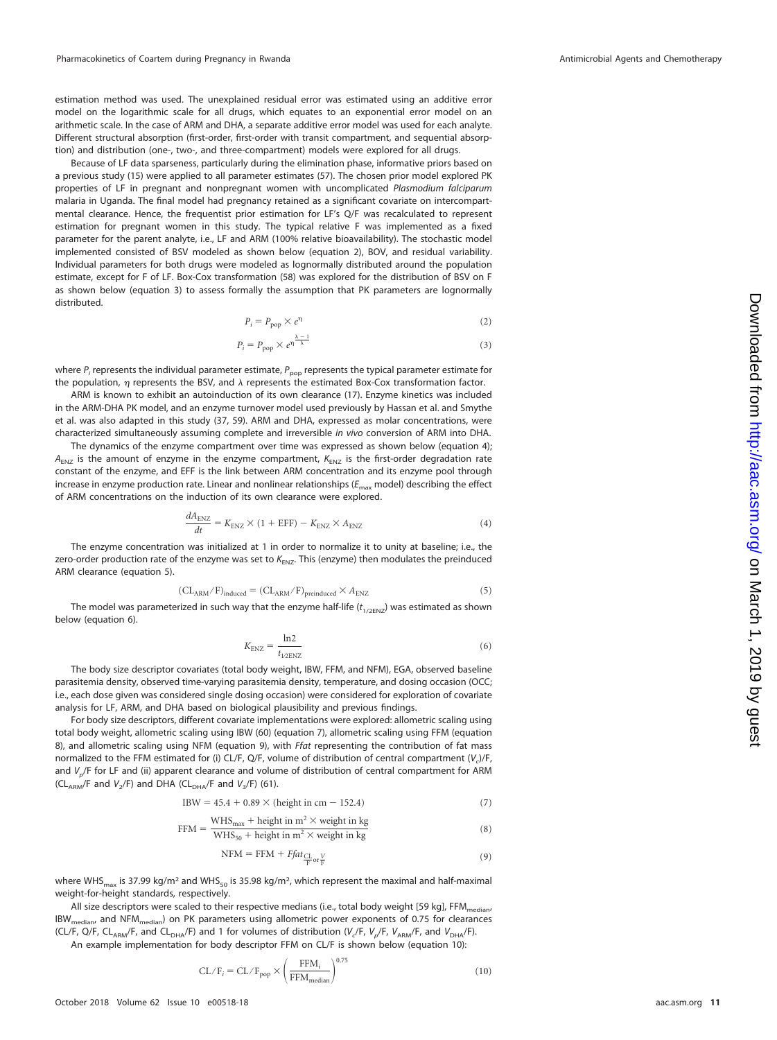estimation method was used. The unexplained residual error was estimated using an additive error model on the logarithmic scale for all drugs, which equates to an exponential error model on an arithmetic scale. In the case of ARM and DHA, a separate additive error model was used for each analyte. Different structural absorption (first-order, first-order with transit compartment, and sequential absorption) and distribution (one-, two-, and three-compartment) models were explored for all drugs.

Because of LF data sparseness, particularly during the elimination phase, informative priors based on a previous study [\(15\)](#page-12-2) were applied to all parameter estimates [\(57\)](#page-13-12). The chosen prior model explored PK properties of LF in pregnant and nonpregnant women with uncomplicated Plasmodium falciparum malaria in Uganda. The final model had pregnancy retained as a significant covariate on intercompartmental clearance. Hence, the frequentist prior estimation for LF's Q/F was recalculated to represent estimation for pregnant women in this study. The typical relative F was implemented as a fixed parameter for the parent analyte, i.e., LF and ARM (100% relative bioavailability). The stochastic model implemented consisted of BSV modeled as shown below (equation 2), BOV, and residual variability. Individual parameters for both drugs were modeled as lognormally distributed around the population estimate, except for F of LF. Box-Cox transformation [\(58\)](#page-13-13) was explored for the distribution of BSV on F as shown below (equation 3) to assess formally the assumption that PK parameters are lognormally distributed.

$$
P_i = P_{\text{pop}} \times e^{\eta} \tag{2}
$$

$$
P_i = P_{\text{pop}} \times e^{\eta \frac{\lambda - 1}{\lambda}}
$$
\n(3)

where  $P_i$  represents the individual parameter estimate,  $P_{\text{pop}}$  represents the typical parameter estimate for the population,  $\eta$  represents the BSV, and  $\lambda$  represents the estimated Box-Cox transformation factor.

ARM is known to exhibit an autoinduction of its own clearance [\(17\)](#page-12-4). Enzyme kinetics was included in the ARM-DHA PK model, and an enzyme turnover model used previously by Hassan et al. and Smythe et al. was also adapted in this study [\(37,](#page-12-24) [59\)](#page-13-14). ARM and DHA, expressed as molar concentrations, were characterized simultaneously assuming complete and irreversible in vivo conversion of ARM into DHA.

The dynamics of the enzyme compartment over time was expressed as shown below (equation 4);  $A_{ENZ}$  is the amount of enzyme in the enzyme compartment,  $K_{ENZ}$  is the first-order degradation rate constant of the enzyme, and EFF is the link between ARM concentration and its enzyme pool through increase in enzyme production rate. Linear and nonlinear relationships ( $E_{\rm max}$  model) describing the effect of ARM concentrations on the induction of its own clearance were explored.

$$
\frac{dA_{\text{ENZ}}}{dt} = K_{\text{ENZ}} \times (1 + \text{EFF}) - K_{\text{ENZ}} \times A_{\text{ENZ}} \tag{4}
$$

The enzyme concentration was initialized at 1 in order to normalize it to unity at baseline; i.e., the zero-order production rate of the enzyme was set to  $K_{ENZ}$ . This (enzyme) then modulates the preinduced ARM clearance (equation 5).

$$
(\text{CL}_{\text{ARM}}/\text{F})_{\text{induced}} = (\text{CL}_{\text{ARM}}/\text{F})_{\text{preinduced}} \times A_{\text{ENZ}} \tag{5}
$$

The model was parameterized in such way that the enzyme half-life  $(t_{1/2ENZ})$  was estimated as shown below (equation 6).

$$
K_{\rm ENZ} = \frac{\ln 2}{t_{12\rm ENZ}}\tag{6}
$$

The body size descriptor covariates (total body weight, IBW, FFM, and NFM), EGA, observed baseline parasitemia density, observed time-varying parasitemia density, temperature, and dosing occasion (OCC; i.e., each dose given was considered single dosing occasion) were considered for exploration of covariate analysis for LF, ARM, and DHA based on biological plausibility and previous findings.

For body size descriptors, different covariate implementations were explored: allometric scaling using total body weight, allometric scaling using IBW [\(60\)](#page-13-15) (equation 7), allometric scaling using FFM (equation 8), and allometric scaling using NFM (equation 9), with *Ffat representing the contribution of fat mass* normalized to the FFM estimated for (i) CL/F, Q/F, volume of distribution of central compartment  $(V_c)/F$ , and  $V_p/F$  for LF and (ii) apparent clearance and volume of distribution of central compartment for ARM (CL<sub>ARM</sub>/F and  $V_2$ /F) and DHA (CL<sub>DHA</sub>/F and  $V_3$ /F) [\(61\)](#page-13-16).

$$
IBW = 45.4 + 0.89 \times (height in cm - 152.4)
$$
 (7)

$$
FFM = \frac{\text{WHS}_{\text{max}} + \text{height in m}^2 \times \text{weight in kg}}{\text{WHS}_{50} + \text{height in m}^2 \times \text{weight in kg}}
$$
(8)

$$
NFM = FFM + Ffat_{\frac{CL}{F}or\frac{V}{F}} \tag{9}
$$

where WHS<sub>max</sub> is 37.99 kg/m<sup>2</sup> and WHS<sub>50</sub> is 35.98 kg/m<sup>2</sup>, which represent the maximal and half-maximal weight-for-height standards, respectively.

All size descriptors were scaled to their respective medians (i.e., total body weight [59 kg], FFM<sub>m</sub> IBWmedian, and NFMmedian) on PK parameters using allometric power exponents of 0.75 for clearances (CL/F, Q/F, CL<sub>ARM</sub>/F, and CL<sub>DHA</sub>/F) and 1 for volumes of distribution (V<sub>c</sub>/F, V<sub>p</sub>/F, V<sub>ARM</sub>/F, and V<sub>DHA</sub>/F).

An example implementation for body descriptor FFM on CL/F is shown below (equation 10):

$$
CL/F_i = CL/F_{pop} \times \left(\frac{FFM_i}{FFM_{median}}\right)^{0.75}
$$
\n(10)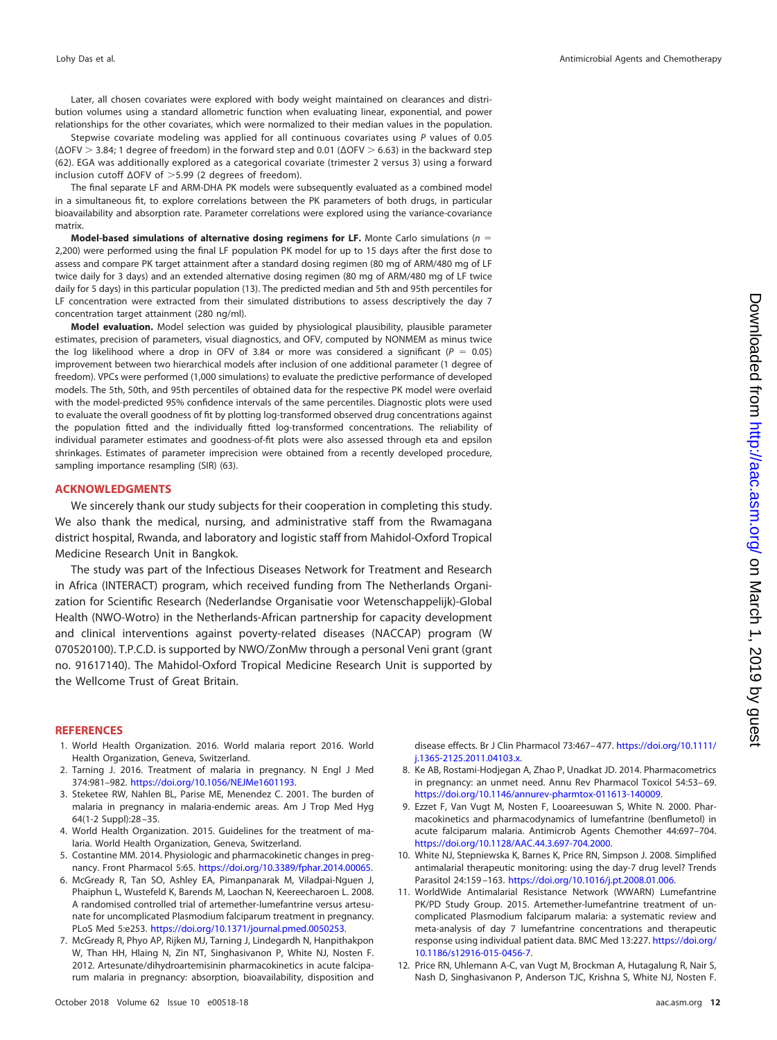Later, all chosen covariates were explored with body weight maintained on clearances and distribution volumes using a standard allometric function when evaluating linear, exponential, and power relationships for the other covariates, which were normalized to their median values in the population.

Stepwise covariate modeling was applied for all continuous covariates using P values of 0.05  $(\Delta$ OFV  $>$  3.84; 1 degree of freedom) in the forward step and 0.01 ( $\Delta$ OFV  $>$  6.63) in the backward step [\(62\)](#page-13-17). EGA was additionally explored as a categorical covariate (trimester 2 versus 3) using a forward inclusion cutoff  $ΔOFV$  of  $>5.99$  (2 degrees of freedom).

The final separate LF and ARM-DHA PK models were subsequently evaluated as a combined model in a simultaneous fit, to explore correlations between the PK parameters of both drugs, in particular bioavailability and absorption rate. Parameter correlations were explored using the variance-covariance matrix.

**Model-based simulations of alternative dosing regimens for LF.** Monte Carlo simulations (n = 2,200) were performed using the final LF population PK model for up to 15 days after the first dose to assess and compare PK target attainment after a standard dosing regimen (80 mg of ARM/480 mg of LF twice daily for 3 days) and an extended alternative dosing regimen (80 mg of ARM/480 mg of LF twice daily for 5 days) in this particular population [\(13\)](#page-12-0). The predicted median and 5th and 95th percentiles for LF concentration were extracted from their simulated distributions to assess descriptively the day 7 concentration target attainment (280 ng/ml).

**Model evaluation.** Model selection was guided by physiological plausibility, plausible parameter estimates, precision of parameters, visual diagnostics, and OFV, computed by NONMEM as minus twice the log likelihood where a drop in OFV of 3.84 or more was considered a significant ( $P = 0.05$ ) improvement between two hierarchical models after inclusion of one additional parameter (1 degree of freedom). VPCs were performed (1,000 simulations) to evaluate the predictive performance of developed models. The 5th, 50th, and 95th percentiles of obtained data for the respective PK model were overlaid with the model-predicted 95% confidence intervals of the same percentiles. Diagnostic plots were used to evaluate the overall goodness of fit by plotting log-transformed observed drug concentrations against the population fitted and the individually fitted log-transformed concentrations. The reliability of individual parameter estimates and goodness-of-fit plots were also assessed through eta and epsilon shrinkages. Estimates of parameter imprecision were obtained from a recently developed procedure, sampling importance resampling (SIR) [\(63\)](#page-13-18).

## **ACKNOWLEDGMENTS**

We sincerely thank our study subjects for their cooperation in completing this study. We also thank the medical, nursing, and administrative staff from the Rwamagana district hospital, Rwanda, and laboratory and logistic staff from Mahidol-Oxford Tropical Medicine Research Unit in Bangkok.

The study was part of the Infectious Diseases Network for Treatment and Research in Africa (INTERACT) program, which received funding from The Netherlands Organization for Scientific Research (Nederlandse Organisatie voor Wetenschappelijk)-Global Health (NWO-Wotro) in the Netherlands-African partnership for capacity development and clinical interventions against poverty-related diseases (NACCAP) program (W 070520100). T.P.C.D. is supported by NWO/ZonMw through a personal Veni grant (grant no. 91617140). The Mahidol-Oxford Tropical Medicine Research Unit is supported by the Wellcome Trust of Great Britain.

#### <span id="page-11-0"></span>**REFERENCES**

- <span id="page-11-1"></span>1. World Health Organization. 2016. World malaria report 2016. World Health Organization, Geneva, Switzerland.
- <span id="page-11-2"></span>2. Tarning J. 2016. Treatment of malaria in pregnancy. N Engl J Med 374:981–982. [https://doi.org/10.1056/NEJMe1601193.](https://doi.org/10.1056/NEJMe1601193)
- <span id="page-11-3"></span>3. Steketee RW, Nahlen BL, Parise ME, Menendez C. 2001. The burden of malaria in pregnancy in malaria-endemic areas. Am J Trop Med Hyg 64(1-2 Suppl):28 –35.
- <span id="page-11-4"></span>4. World Health Organization. 2015. Guidelines for the treatment of malaria. World Health Organization, Geneva, Switzerland.
- <span id="page-11-5"></span>5. Costantine MM. 2014. Physiologic and pharmacokinetic changes in pregnancy. Front Pharmacol 5:65. [https://doi.org/10.3389/fphar.2014.00065.](https://doi.org/10.3389/fphar.2014.00065)
- 6. McGready R, Tan SO, Ashley EA, Pimanpanarak M, Viladpai-Nguen J, Phaiphun L, Wustefeld K, Barends M, Laochan N, Keereecharoen L. 2008. A randomised controlled trial of artemether-lumefantrine versus artesunate for uncomplicated Plasmodium falciparum treatment in pregnancy. PLoS Med 5:e253. [https://doi.org/10.1371/journal.pmed.0050253.](https://doi.org/10.1371/journal.pmed.0050253)
- <span id="page-11-6"></span>7. McGready R, Phyo AP, Rijken MJ, Tarning J, Lindegardh N, Hanpithakpon W, Than HH, Hlaing N, Zin NT, Singhasivanon P, White NJ, Nosten F. 2012. Artesunate/dihydroartemisinin pharmacokinetics in acute falciparum malaria in pregnancy: absorption, bioavailability, disposition and

disease effects. Br J Clin Pharmacol 73:467– 477. [https://doi.org/10.1111/](https://doi.org/10.1111/j.1365-2125.2011.04103.x) [j.1365-2125.2011.04103.x.](https://doi.org/10.1111/j.1365-2125.2011.04103.x)

- <span id="page-11-8"></span><span id="page-11-7"></span>8. Ke AB, Rostami-Hodjegan A, Zhao P, Unadkat JD. 2014. Pharmacometrics in pregnancy: an unmet need. Annu Rev Pharmacol Toxicol 54:53– 69. [https://doi.org/10.1146/annurev-pharmtox-011613-140009.](https://doi.org/10.1146/annurev-pharmtox-011613-140009)
- 9. Ezzet F, Van Vugt M, Nosten F, Looareesuwan S, White N. 2000. Pharmacokinetics and pharmacodynamics of lumefantrine (benflumetol) in acute falciparum malaria. Antimicrob Agents Chemother 44:697–704. [https://doi.org/10.1128/AAC.44.3.697-704.2000.](https://doi.org/10.1128/AAC.44.3.697-704.2000)
- <span id="page-11-10"></span><span id="page-11-9"></span>10. White NJ, Stepniewska K, Barnes K, Price RN, Simpson J. 2008. Simplified antimalarial therapeutic monitoring: using the day-7 drug level? Trends Parasitol 24:159 –163. [https://doi.org/10.1016/j.pt.2008.01.006.](https://doi.org/10.1016/j.pt.2008.01.006)
- 11. WorldWide Antimalarial Resistance Network (WWARN) Lumefantrine PK/PD Study Group. 2015. Artemether-lumefantrine treatment of uncomplicated Plasmodium falciparum malaria: a systematic review and meta-analysis of day 7 lumefantrine concentrations and therapeutic response using individual patient data. BMC Med 13:227. [https://doi.org/](https://doi.org/10.1186/s12916-015-0456-7) [10.1186/s12916-015-0456-7.](https://doi.org/10.1186/s12916-015-0456-7)
- <span id="page-11-11"></span>12. Price RN, Uhlemann A-C, van Vugt M, Brockman A, Hutagalung R, Nair S, Nash D, Singhasivanon P, Anderson TJC, Krishna S, White NJ, Nosten F.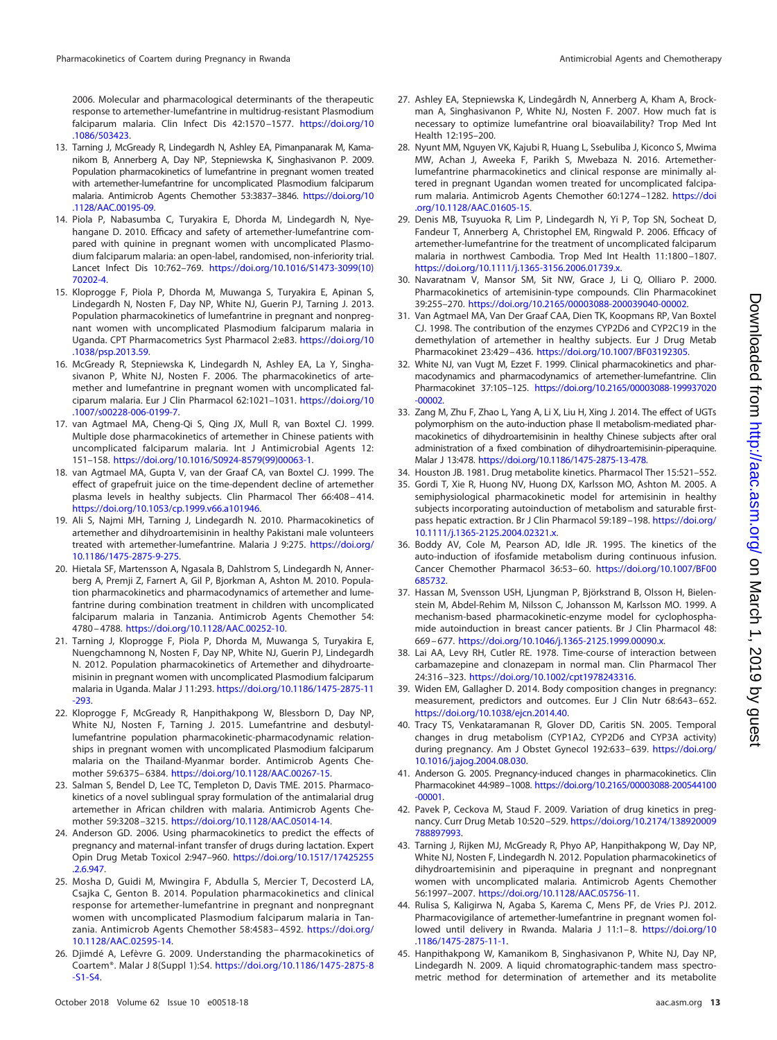2006. Molecular and pharmacological determinants of the therapeutic response to artemether-lumefantrine in multidrug-resistant Plasmodium falciparum malaria. Clin Infect Dis 42:1570 –1577. [https://doi.org/10](https://doi.org/10.1086/503423) [.1086/503423.](https://doi.org/10.1086/503423)

- <span id="page-12-0"></span>13. Tarning J, McGready R, Lindegardh N, Ashley EA, Pimanpanarak M, Kamanikom B, Annerberg A, Day NP, Stepniewska K, Singhasivanon P. 2009. Population pharmacokinetics of lumefantrine in pregnant women treated with artemether-lumefantrine for uncomplicated Plasmodium falciparum malaria. Antimicrob Agents Chemother 53:3837–3846. [https://doi.org/10](https://doi.org/10.1128/AAC.00195-09) [.1128/AAC.00195-09.](https://doi.org/10.1128/AAC.00195-09)
- <span id="page-12-1"></span>14. Piola P, Nabasumba C, Turyakira E, Dhorda M, Lindegardh N, Nyehangane D. 2010. Efficacy and safety of artemether-lumefantrine compared with quinine in pregnant women with uncomplicated Plasmodium falciparum malaria: an open-label, randomised, non-inferiority trial. Lancet Infect Dis 10:762–769. [https://doi.org/10.1016/S1473-3099\(10\)](https://doi.org/10.1016/S1473-3099(10)70202-4) [70202-4.](https://doi.org/10.1016/S1473-3099(10)70202-4)
- <span id="page-12-2"></span>15. Kloprogge F, Piola P, Dhorda M, Muwanga S, Turyakira E, Apinan S, Lindegardh N, Nosten F, Day NP, White NJ, Guerin PJ, Tarning J. 2013. Population pharmacokinetics of lumefantrine in pregnant and nonpregnant women with uncomplicated Plasmodium falciparum malaria in Uganda. CPT Pharmacometrics Syst Pharmacol 2:e83. [https://doi.org/10](https://doi.org/10.1038/psp.2013.59) [.1038/psp.2013.59.](https://doi.org/10.1038/psp.2013.59)
- <span id="page-12-3"></span>16. McGready R, Stepniewska K, Lindegardh N, Ashley EA, La Y, Singhasivanon P, White NJ, Nosten F. 2006. The pharmacokinetics of artemether and lumefantrine in pregnant women with uncomplicated falciparum malaria. Eur J Clin Pharmacol 62:1021–1031. [https://doi.org/10](https://doi.org/10.1007/s00228-006-0199-7) [.1007/s00228-006-0199-7.](https://doi.org/10.1007/s00228-006-0199-7)
- <span id="page-12-4"></span>17. van Agtmael MA, Cheng-Qi S, Qing JX, Mull R, van Boxtel CJ. 1999. Multiple dose pharmacokinetics of artemether in Chinese patients with uncomplicated falciparum malaria. Int J Antimicrobial Agents 12: 151–158. [https://doi.org/10.1016/S0924-8579\(99\)00063-1.](https://doi.org/10.1016/S0924-8579(99)00063-1)
- <span id="page-12-17"></span>18. van Agtmael MA, Gupta V, van der Graaf CA, van Boxtel CJ. 1999. The effect of grapefruit juice on the time-dependent decline of artemether plasma levels in healthy subjects. Clin Pharmacol Ther 66:408 – 414. [https://doi.org/10.1053/cp.1999.v66.a101946.](https://doi.org/10.1053/cp.1999.v66.a101946)
- <span id="page-12-5"></span>19. Ali S, Najmi MH, Tarning J, Lindegardh N. 2010. Pharmacokinetics of artemether and dihydroartemisinin in healthy Pakistani male volunteers treated with artemether-lumefantrine. Malaria J 9:275. [https://doi.org/](https://doi.org/10.1186/1475-2875-9-275) [10.1186/1475-2875-9-275.](https://doi.org/10.1186/1475-2875-9-275)
- <span id="page-12-6"></span>20. Hietala SF, Martensson A, Ngasala B, Dahlstrom S, Lindegardh N, Annerberg A, Premji Z, Farnert A, Gil P, Bjorkman A, Ashton M. 2010. Population pharmacokinetics and pharmacodynamics of artemether and lumefantrine during combination treatment in children with uncomplicated falciparum malaria in Tanzania. Antimicrob Agents Chemother 54: 4780 – 4788. [https://doi.org/10.1128/AAC.00252-10.](https://doi.org/10.1128/AAC.00252-10)
- <span id="page-12-7"></span>21. Tarning J, Kloprogge F, Piola P, Dhorda M, Muwanga S, Turyakira E, Nuengchamnong N, Nosten F, Day NP, White NJ, Guerin PJ, Lindegardh N. 2012. Population pharmacokinetics of Artemether and dihydroartemisinin in pregnant women with uncomplicated Plasmodium falciparum malaria in Uganda. Malar J 11:293. [https://doi.org/10.1186/1475-2875-11](https://doi.org/10.1186/1475-2875-11-293) [-293.](https://doi.org/10.1186/1475-2875-11-293)
- <span id="page-12-8"></span>22. Kloprogge F, McGready R, Hanpithakpong W, Blessborn D, Day NP, White NJ, Nosten F, Tarning J. 2015. Lumefantrine and desbutyllumefantrine population pharmacokinetic-pharmacodynamic relationships in pregnant women with uncomplicated Plasmodium falciparum malaria on the Thailand-Myanmar border. Antimicrob Agents Chemother 59:6375– 6384. [https://doi.org/10.1128/AAC.00267-15.](https://doi.org/10.1128/AAC.00267-15)
- <span id="page-12-9"></span>23. Salman S, Bendel D, Lee TC, Templeton D, Davis TME. 2015. Pharmacokinetics of a novel sublingual spray formulation of the antimalarial drug artemether in African children with malaria. Antimicrob Agents Chemother 59:3208 –3215. [https://doi.org/10.1128/AAC.05014-14.](https://doi.org/10.1128/AAC.05014-14)
- <span id="page-12-10"></span>24. Anderson GD. 2006. Using pharmacokinetics to predict the effects of pregnancy and maternal-infant transfer of drugs during lactation. Expert Opin Drug Metab Toxicol 2:947–960. [https://doi.org/10.1517/17425255](https://doi.org/10.1517/17425255.2.6.947) [.2.6.947.](https://doi.org/10.1517/17425255.2.6.947)
- <span id="page-12-11"></span>25. Mosha D, Guidi M, Mwingira F, Abdulla S, Mercier T, Decosterd LA, Csajka C, Genton B. 2014. Population pharmacokinetics and clinical response for artemether-lumefantrine in pregnant and nonpregnant women with uncomplicated Plasmodium falciparum malaria in Tanzania. Antimicrob Agents Chemother 58:4583– 4592. [https://doi.org/](https://doi.org/10.1128/AAC.02595-14) [10.1128/AAC.02595-14.](https://doi.org/10.1128/AAC.02595-14)
- <span id="page-12-12"></span>26. Djimdé A, Lefèvre G. 2009. Understanding the pharmacokinetics of Coartem®. Malar J 8(Suppl 1):S4. [https://doi.org/10.1186/1475-2875-8](https://doi.org/10.1186/1475-2875-8-S1-S4) [-S1-S4.](https://doi.org/10.1186/1475-2875-8-S1-S4)
- <span id="page-12-13"></span>27. Ashley EA, Stepniewska K, Lindegårdh N, Annerberg A, Kham A, Brockman A, Singhasivanon P, White NJ, Nosten F. 2007. How much fat is necessary to optimize lumefantrine oral bioavailability? Trop Med Int Health 12:195–200.
- <span id="page-12-14"></span>28. Nyunt MM, Nguyen VK, Kajubi R, Huang L, Ssebuliba J, Kiconco S, Mwima MW, Achan J, Aweeka F, Parikh S, Mwebaza N. 2016. Artemetherlumefantrine pharmacokinetics and clinical response are minimally altered in pregnant Ugandan women treated for uncomplicated falciparum malaria. Antimicrob Agents Chemother 60:1274 –1282. [https://doi](https://doi.org/10.1128/AAC.01605-15) [.org/10.1128/AAC.01605-15.](https://doi.org/10.1128/AAC.01605-15)
- <span id="page-12-15"></span>29. Denis MB, Tsuyuoka R, Lim P, Lindegardh N, Yi P, Top SN, Socheat D, Fandeur T, Annerberg A, Christophel EM, Ringwald P. 2006. Efficacy of artemether-lumefantrine for the treatment of uncomplicated falciparum malaria in northwest Cambodia. Trop Med Int Health 11:1800 –1807. [https://doi.org/10.1111/j.1365-3156.2006.01739.x.](https://doi.org/10.1111/j.1365-3156.2006.01739.x)
- <span id="page-12-16"></span>30. Navaratnam V, Mansor SM, Sit NW, Grace J, Li Q, Olliaro P. 2000. Pharmacokinetics of artemisinin-type compounds. Clin Pharmacokinet 39:255–270. [https://doi.org/10.2165/00003088-200039040-00002.](https://doi.org/10.2165/00003088-200039040-00002)
- <span id="page-12-18"></span>31. Van Agtmael MA, Van Der Graaf CAA, Dien TK, Koopmans RP, Van Boxtel CJ. 1998. The contribution of the enzymes CYP2D6 and CYP2C19 in the demethylation of artemether in healthy subjects. Eur J Drug Metab Pharmacokinet 23:429 – 436. [https://doi.org/10.1007/BF03192305.](https://doi.org/10.1007/BF03192305)
- <span id="page-12-19"></span>32. White NJ, van Vugt M, Ezzet F. 1999. Clinical pharmacokinetics and pharmacodynamics and pharmacodynamics of artemether-lumefantrine. Clin Pharmacokinet 37:105–125. [https://doi.org/10.2165/00003088-199937020](https://doi.org/10.2165/00003088-199937020-00002) [-00002.](https://doi.org/10.2165/00003088-199937020-00002)
- <span id="page-12-20"></span>33. Zang M, Zhu F, Zhao L, Yang A, Li X, Liu H, Xing J. 2014. The effect of UGTs polymorphism on the auto-induction phase II metabolism-mediated pharmacokinetics of dihydroartemisinin in healthy Chinese subjects after oral administration of a fixed combination of dihydroartemisinin-piperaquine. Malar J 13:478. [https://doi.org/10.1186/1475-2875-13-478.](https://doi.org/10.1186/1475-2875-13-478)
- <span id="page-12-22"></span><span id="page-12-21"></span>34. Houston JB. 1981. Drug metabolite kinetics. Pharmacol Ther 15:521–552.
- 35. Gordi T, Xie R, Huong NV, Huong DX, Karlsson MO, Ashton M. 2005. A semiphysiological pharmacokinetic model for artemisinin in healthy subjects incorporating autoinduction of metabolism and saturable firstpass hepatic extraction. Br J Clin Pharmacol 59:189 –198. [https://doi.org/](https://doi.org/10.1111/j.1365-2125.2004.02321.x) [10.1111/j.1365-2125.2004.02321.x.](https://doi.org/10.1111/j.1365-2125.2004.02321.x)
- <span id="page-12-23"></span>36. Boddy AV, Cole M, Pearson AD, Idle JR. 1995. The kinetics of the auto-induction of ifosfamide metabolism during continuous infusion. Cancer Chemother Pharmacol 36:53– 60. [https://doi.org/10.1007/BF00](https://doi.org/10.1007/BF00685732) [685732.](https://doi.org/10.1007/BF00685732)
- <span id="page-12-24"></span>37. Hassan M, Svensson USH, Ljungman P, Björkstrand B, Olsson H, Bielenstein M, Abdel-Rehim M, Nilsson C, Johansson M, Karlsson MO. 1999. A mechanism-based pharmacokinetic-enzyme model for cyclophosphamide autoinduction in breast cancer patients. Br J Clin Pharmacol 48: 669 – 677. [https://doi.org/10.1046/j.1365-2125.1999.00090.x.](https://doi.org/10.1046/j.1365-2125.1999.00090.x)
- <span id="page-12-26"></span><span id="page-12-25"></span>38. Lai AA, Levy RH, Cutler RE. 1978. Time-course of interaction between carbamazepine and clonazepam in normal man. Clin Pharmacol Ther 24:316 –323. [https://doi.org/10.1002/cpt1978243316.](https://doi.org/10.1002/cpt1978243316)
- 39. Widen EM, Gallagher D. 2014. Body composition changes in pregnancy: measurement, predictors and outcomes. Eur J Clin Nutr 68:643– 652. [https://doi.org/10.1038/ejcn.2014.40.](https://doi.org/10.1038/ejcn.2014.40)
- <span id="page-12-27"></span>40. Tracy TS, Venkataramanan R, Glover DD, Caritis SN. 2005. Temporal changes in drug metabolism (CYP1A2, CYP2D6 and CYP3A activity) during pregnancy. Am J Obstet Gynecol 192:633– 639. [https://doi.org/](https://doi.org/10.1016/j.ajog.2004.08.030) [10.1016/j.ajog.2004.08.030.](https://doi.org/10.1016/j.ajog.2004.08.030)
- <span id="page-12-29"></span><span id="page-12-28"></span>41. Anderson G. 2005. Pregnancy-induced changes in pharmacokinetics. Clin Pharmacokinet 44:989 –1008. [https://doi.org/10.2165/00003088-200544100](https://doi.org/10.2165/00003088-200544100-00001) [-00001.](https://doi.org/10.2165/00003088-200544100-00001)
- <span id="page-12-30"></span>42. Pavek P, Ceckova M, Staud F. 2009. Variation of drug kinetics in pregnancy. Curr Drug Metab 10:520 –529. [https://doi.org/10.2174/138920009](https://doi.org/10.2174/138920009788897993) [788897993.](https://doi.org/10.2174/138920009788897993)
- 43. Tarning J, Rijken MJ, McGready R, Phyo AP, Hanpithakpong W, Day NP, White NJ, Nosten F, Lindegardh N. 2012. Population pharmacokinetics of dihydroartemisinin and piperaquine in pregnant and nonpregnant women with uncomplicated malaria. Antimicrob Agents Chemother 56:1997–2007. [https://doi.org/10.1128/AAC.05756-11.](https://doi.org/10.1128/AAC.05756-11)
- <span id="page-12-31"></span>44. Rulisa S, Kaligirwa N, Agaba S, Karema C, Mens PF, de Vries PJ. 2012. Pharmacovigilance of artemether-lumefantrine in pregnant women followed until delivery in Rwanda. Malaria J 11:1-8. [https://doi.org/10](https://doi.org/10.1186/1475-2875-11-1) [.1186/1475-2875-11-1.](https://doi.org/10.1186/1475-2875-11-1)
- <span id="page-12-32"></span>45. Hanpithakpong W, Kamanikom B, Singhasivanon P, White NJ, Day NP, Lindegardh N. 2009. A liquid chromatographic-tandem mass spectrometric method for determination of artemether and its metabolite